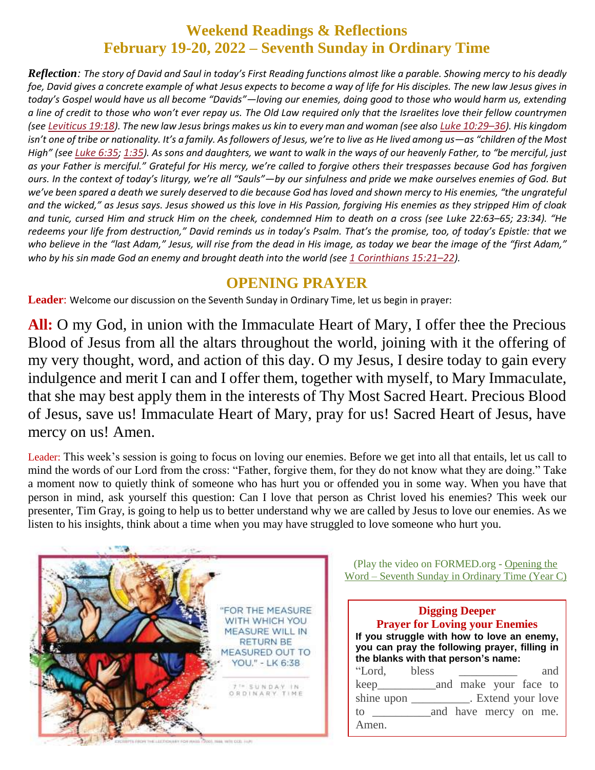### **Weekend Readings & Reflections February 19-20, 2022 – Seventh Sunday in Ordinary Time**

*Reflection: The story of David and Saul in today's First Reading functions almost like a parable. Showing mercy to his deadly foe, David gives a concrete example of what Jesus expects to become a way of life for His disciples. The new law Jesus gives in today's Gospel would have us all become "Davids"—loving our enemies, doing good to those who would harm us, extending a line of credit to those who won't ever repay us. The Old Law required only that the Israelites love their fellow countrymen (see [Leviticus](https://biblia.com/bible/rsvce/Lev%2019.18) 19:18). The new law Jesus brings makes us kin to every man and woman (see also Luke [10:29](https://biblia.com/bible/rsvce/Luke%2010.29%E2%80%9336)–36). His kingdom isn't one of tribe or nationality. It's a family. As followers of Jesus, we're to live as He lived among us—as "children of the Most High" (see [Luke](https://biblia.com/bible/rsvce/Luke%206.35) 6:35; [1:35](https://biblia.com/bible/rsvce/Luke%201.35)). As sons and daughters, we want to walk in the ways of our heavenly Father, to "be merciful, just as your Father is merciful." Grateful for His mercy, we're called to forgive others their trespasses because God has forgiven ours. In the context of today's liturgy, we're all "Sauls"—by our sinfulness and pride we make ourselves enemies of God. But we've been spared a death we surely deserved to die because God has loved and shown mercy to His enemies, "the ungrateful and the wicked," as Jesus says. Jesus showed us this love in His Passion, forgiving His enemies as they stripped Him of cloak and tunic, cursed Him and struck Him on the cheek, condemned Him to death on a cross (see Luke 22:63–65; 23:34). "He redeems your life from destruction," David reminds us in today's Psalm. That's the promise, too, of today's Epistle: that we who believe in the "last Adam," Jesus, will rise from the dead in His image, as today we bear the image of the "first Adam," who by his sin made God an enemy and brought death into the world (see 1 [Corinthians](https://biblia.com/bible/rsvce/1%20Cor%2015.21%E2%80%9322) 15:21–22).*

#### **OPENING PRAYER**

**Leader**: Welcome our discussion on the Seventh Sunday in Ordinary Time, let us begin in prayer:

**All:** O my God, in union with the Immaculate Heart of Mary, I offer thee the Precious Blood of Jesus from all the altars throughout the world, joining with it the offering of my very thought, word, and action of this day. O my Jesus, I desire today to gain every indulgence and merit I can and I offer them, together with myself, to Mary Immaculate, that she may best apply them in the interests of Thy Most Sacred Heart. Precious Blood of Jesus, save us! Immaculate Heart of Mary, pray for us! Sacred Heart of Jesus, have mercy on us! Amen.

Leader: This week's session is going to focus on loving our enemies. Before we get into all that entails, let us call to mind the words of our Lord from the cross: "Father, forgive them, for they do not know what they are doing." Take a moment now to quietly think of someone who has hurt you or offended you in some way. When you have that person in mind, ask yourself this question: Can I love that person as Christ loved his enemies? This week our presenter, Tim Gray, is going to help us to better understand why we are called by Jesus to love our enemies. As we listen to his insights, think about a time when you may have struggled to love someone who hurt you.



(Play the video on FORMED.org - [Opening the](https://watch.formed.org/opening-the-word-1/season:3/videos/7th-sunday-in-ordinary-time-february-24-2019)  Word – Seventh [Sunday in Ordinary Time](https://watch.formed.org/opening-the-word-1/season:3/videos/7th-sunday-in-ordinary-time-february-24-2019) (Year C)

| <b>Digging Deeper</b><br><b>Prayer for Loving your Enemies</b><br>If you struggle with how to love an enemy,<br>you can pray the following prayer, filling in<br>the blanks with that person's name: |                       |  |  |     |
|------------------------------------------------------------------------------------------------------------------------------------------------------------------------------------------------------|-----------------------|--|--|-----|
| "Lord, bless                                                                                                                                                                                         |                       |  |  | and |
| keep and make your face to                                                                                                                                                                           |                       |  |  |     |
| shine upon ____________. Extend your love                                                                                                                                                            |                       |  |  |     |
| to                                                                                                                                                                                                   | and have mercy on me. |  |  |     |
|                                                                                                                                                                                                      |                       |  |  |     |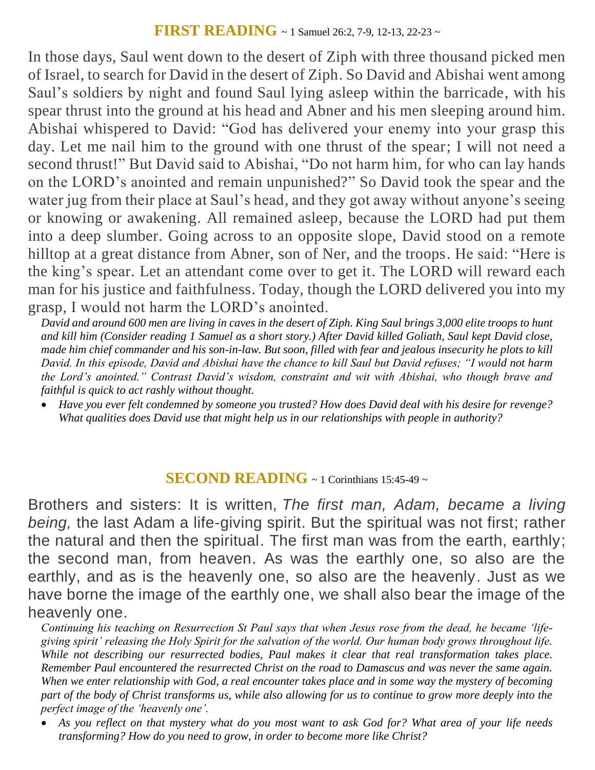#### **FIRST READING** ~ 1 Samuel 26:2, 7-9, 12-13, 22-23 ~

In those days, Saul went down to the desert of Ziph with three thousand picked men of Israel, to search for David in the desert of Ziph. So David and Abishai went among Saul's soldiers by night and found Saul lying asleep within the barricade, with his spear thrust into the ground at his head and Abner and his men sleeping around him. Abishai whispered to David: "God has delivered your enemy into your grasp this day. Let me nail him to the ground with one thrust of the spear; I will not need a second thrust!" But David said to Abishai, "Do not harm him, for who can lay hands on the LORD's anointed and remain unpunished?" So David took the spear and the water jug from their place at Saul's head, and they got away without anyone's seeing or knowing or awakening. All remained asleep, because the LORD had put them into a deep slumber. Going across to an opposite slope, David stood on a remote hilltop at a great distance from Abner, son of Ner, and the troops. He said: "Here is the king's spear. Let an attendant come over to get it. The LORD will reward each man for his justice and faithfulness. Today, though the LORD delivered you into my grasp, I would not harm the LORD's anointed.

*David and around 600 men are living in caves in the desert of Ziph. King Saul brings 3,000 elite troops to hunt and kill him (Consider reading 1 Samuel as a short story.) After David killed Goliath, Saul kept David close, made him chief commander and his son-in-law. But soon, filled with fear and jealous insecurity he plots to kill David. In this episode, David and Abishai have the chance to kill Saul but David refuses; "I would not harm the Lord's anointed." Contrast David's wisdom, constraint and wit with Abishai, who though brave and faithful is quick to act rashly without thought.* 

 *Have you ever felt condemned by someone you trusted? How does David deal with his desire for revenge? What qualities does David use that might help us in our relationships with people in authority?*

#### **SECOND READING** ~ 1 Corinthians 15:45-49 ~

Brothers and sisters: It is written, *The first man, Adam, became a living being,* the last Adam a life-giving spirit. But the spiritual was not first; rather the natural and then the spiritual. The first man was from the earth, earthly; the second man, from heaven. As was the earthly one, so also are the earthly, and as is the heavenly one, so also are the heavenly. Just as we have borne the image of the earthly one, we shall also bear the image of the heavenly one.

*Continuing his teaching on Resurrection St Paul says that when Jesus rose from the dead, he became 'lifegiving spirit' releasing the Holy Spirit for the salvation of the world. Our human body grows throughout life. While not describing our resurrected bodies, Paul makes it clear that real transformation takes place. Remember Paul encountered the resurrected Christ on the road to Damascus and was never the same again. When we enter relationship with God, a real encounter takes place and in some way the mystery of becoming part of the body of Christ transforms us, while also allowing for us to continue to grow more deeply into the perfect image of the 'heavenly one'.* 

 *As you reflect on that mystery what do you most want to ask God for? What area of your life needs transforming? How do you need to grow, in order to become more like Christ?*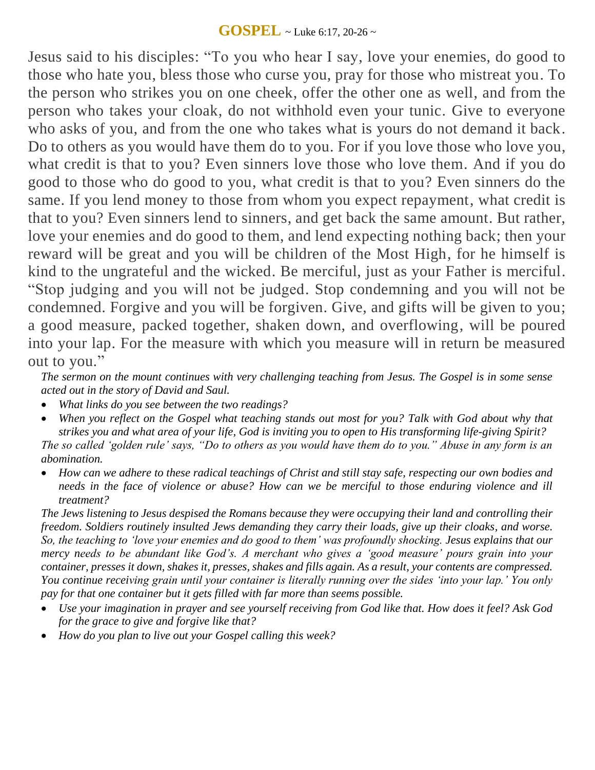Jesus said to his disciples: "To you who hear I say, love your enemies, do good to those who hate you, bless those who curse you, pray for those who mistreat you. To the person who strikes you on one cheek, offer the other one as well, and from the person who takes your cloak, do not withhold even your tunic. Give to everyone who asks of you, and from the one who takes what is yours do not demand it back. Do to others as you would have them do to you. For if you love those who love you, what credit is that to you? Even sinners love those who love them. And if you do good to those who do good to you, what credit is that to you? Even sinners do the same. If you lend money to those from whom you expect repayment, what credit is that to you? Even sinners lend to sinners, and get back the same amount. But rather, love your enemies and do good to them, and lend expecting nothing back; then your reward will be great and you will be children of the Most High, for he himself is kind to the ungrateful and the wicked. Be merciful, just as your Father is merciful. "Stop judging and you will not be judged. Stop condemning and you will not be condemned. Forgive and you will be forgiven. Give, and gifts will be given to you; a good measure, packed together, shaken down, and overflowing, will be poured into your lap. For the measure with which you measure will in return be measured out to you."

*The sermon on the mount continues with very challenging teaching from Jesus. The Gospel is in some sense acted out in the story of David and Saul.* 

- *What links do you see between the two readings?*
- *When you reflect on the Gospel what teaching stands out most for you? Talk with God about why that strikes you and what area of your life, God is inviting you to open to His transforming life-giving Spirit?*

*The so called 'golden rule' says, "Do to others as you would have them do to you." Abuse in any form is an abomination.* 

 *How can we adhere to these radical teachings of Christ and still stay safe, respecting our own bodies and needs in the face of violence or abuse? How can we be merciful to those enduring violence and ill treatment?*

*The Jews listening to Jesus despised the Romans because they were occupying their land and controlling their freedom. Soldiers routinely insulted Jews demanding they carry their loads, give up their cloaks, and worse. So, the teaching to 'love your enemies and do good to them' was profoundly shocking. Jesus explains that our mercy needs to be abundant like God's. A merchant who gives a 'good measure' pours grain into your container, presses it down, shakes it, presses, shakes and fills again. As a result, your contents are compressed. You continue receiving grain until your container is literally running over the sides 'into your lap.' You only pay for that one container but it gets filled with far more than seems possible.* 

- *Use your imagination in prayer and see yourself receiving from God like that. How does it feel? Ask God for the grace to give and forgive like that?*
- *How do you plan to live out your Gospel calling this week?*